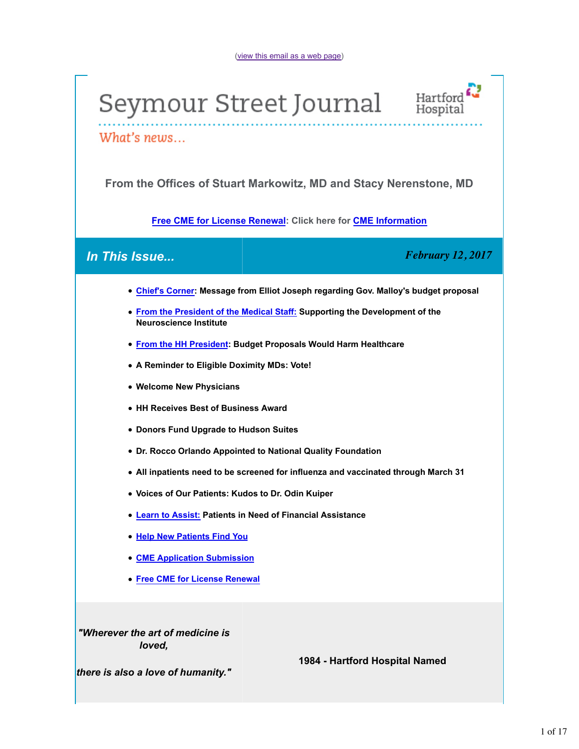



What's news...

**From the Offices of Stuart Markowitz, MD and Stacy Nerenstone, MD**

**Free CME for License Renewal: Click here for CME Information**

*In This Issue... February 12, 2017*

- **Chief's Corner: Message from Elliot Joseph regarding Gov. Malloy's budget proposal**
- **From the President of the Medical Staff: Supporting the Development of the Neuroscience Institute**
- **From the HH President: Budget Proposals Would Harm Healthcare**
- **A Reminder to Eligible Doximity MDs: Vote!**
- **Welcome New Physicians**
- **HH Receives Best of Business Award**
- **Donors Fund Upgrade to Hudson Suites**
- **Dr. Rocco Orlando Appointed to National Quality Foundation**
- **All inpatients need to be screened for influenza and vaccinated through March 31**
- **Voices of Our Patients: Kudos to Dr. Odin Kuiper**
- **Learn to Assist: Patients in Need of Financial Assistance**
- **Help New Patients Find You**
- **CME Application Submission**
- **Free CME for License Renewal**

*"Wherever the art of medicine is loved,*

# **1984 - Hartford Hospital Named**

*there is also a love of humanity."*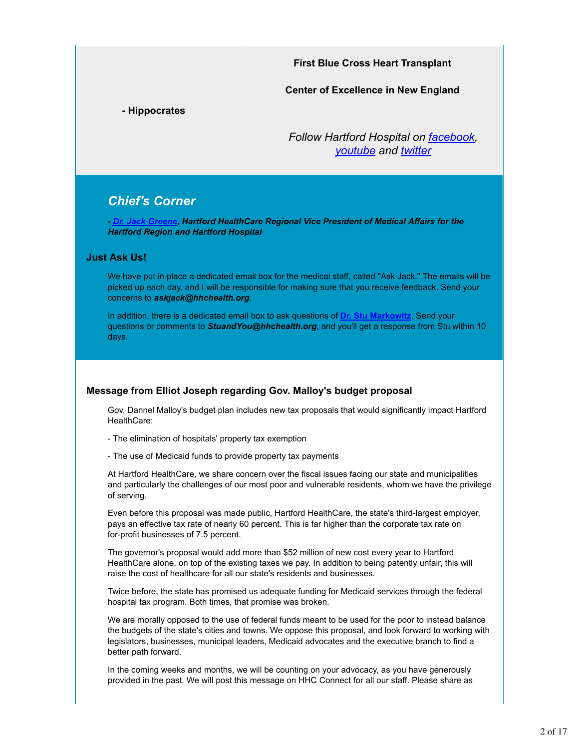**First Blue Cross Heart Transplant**

**Center of Excellence in New England**

**- Hippocrates**

*Follow Hartford Hospital on facebook, youtube and twitter*

# *Chief's Corner*

*- Dr. Jack Greene, Hartford HealthCare Regional Vice President of Medical Affairs for the Hartford Region and Hartford Hospital*

#### **Just Ask Us!**

We have put in place a dedicated email box for the medical staff, called "Ask Jack." The emails will be picked up each day, and I will be responsible for making sure that you receive feedback. Send your concerns to *askjack@hhchealth.org*.

In addition, there is a dedicated email box to ask questions of **Dr. Stu Markowitz**. Send your questions or comments to *StuandYou@hhchealth.org*, and you'll get a response from Stu within 10 days.

### **Message from Elliot Joseph regarding Gov. Malloy's budget proposal**

Gov. Dannel Malloy's budget plan includes new tax proposals that would significantly impact Hartford HealthCare:

- The elimination of hospitals' property tax exemption
- The use of Medicaid funds to provide property tax payments

At Hartford HealthCare, we share concern over the fiscal issues facing our state and municipalities and particularly the challenges of our most poor and vulnerable residents, whom we have the privilege of serving.

Even before this proposal was made public, Hartford HealthCare, the state's third-largest employer, pays an effective tax rate of nearly 60 percent. This is far higher than the corporate tax rate on for-profit businesses of 7.5 percent.

The governor's proposal would add more than \$52 million of new cost every year to Hartford HealthCare alone, on top of the existing taxes we pay. In addition to being patently unfair, this will raise the cost of healthcare for all our state's residents and businesses.

Twice before, the state has promised us adequate funding for Medicaid services through the federal hospital tax program. Both times, that promise was broken.

We are morally opposed to the use of federal funds meant to be used for the poor to instead balance the budgets of the state's cities and towns. We oppose this proposal, and look forward to working with legislators, businesses, municipal leaders, Medicaid advocates and the executive branch to find a better path forward.

In the coming weeks and months, we will be counting on your advocacy, as you have generously provided in the past. We will post this message on HHC Connect for all our staff. Please share as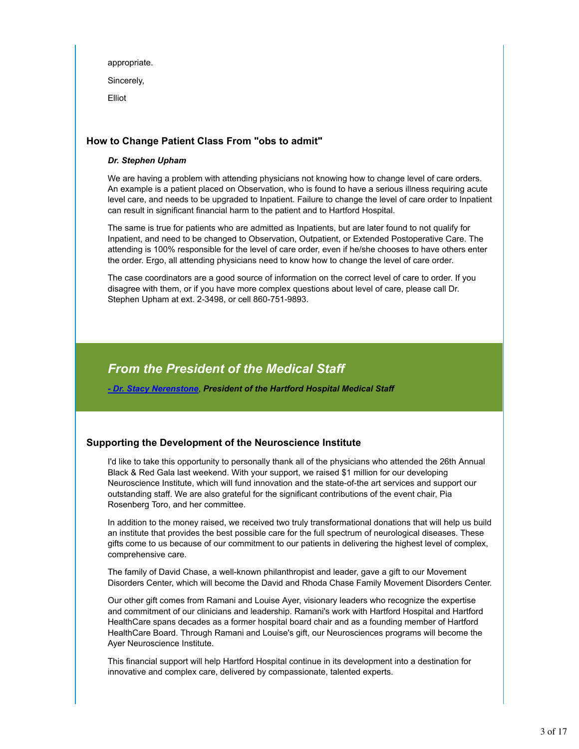appropriate. Sincerely, Elliot

# **How to Change Patient Class From "obs to admit"**

#### *Dr. Stephen Upham*

We are having a problem with attending physicians not knowing how to change level of care orders. An example is a patient placed on Observation, who is found to have a serious illness requiring acute level care, and needs to be upgraded to Inpatient. Failure to change the level of care order to Inpatient can result in significant financial harm to the patient and to Hartford Hospital.

The same is true for patients who are admitted as Inpatients, but are later found to not qualify for Inpatient, and need to be changed to Observation, Outpatient, or Extended Postoperative Care. The attending is 100% responsible for the level of care order, even if he/she chooses to have others enter the order. Ergo, all attending physicians need to know how to change the level of care order.

The case coordinators are a good source of information on the correct level of care to order. If you disagree with them, or if you have more complex questions about level of care, please call Dr. Stephen Upham at ext. 2-3498, or cell 860-751-9893.

# *From the President of the Medical Staff*

*- Dr. Stacy Nerenstone*, *President of the Hartford Hospital Medical Staff*

# **Supporting the Development of the Neuroscience Institute**

I'd like to take this opportunity to personally thank all of the physicians who attended the 26th Annual Black & Red Gala last weekend. With your support, we raised \$1 million for our developing Neuroscience Institute, which will fund innovation and the state-of-the art services and support our outstanding staff. We are also grateful for the significant contributions of the event chair, Pia Rosenberg Toro, and her committee.

In addition to the money raised, we received two truly transformational donations that will help us build an institute that provides the best possible care for the full spectrum of neurological diseases. These gifts come to us because of our commitment to our patients in delivering the highest level of complex, comprehensive care.

The family of David Chase, a well-known philanthropist and leader, gave a gift to our Movement Disorders Center, which will become the David and Rhoda Chase Family Movement Disorders Center.

Our other gift comes from Ramani and Louise Ayer, visionary leaders who recognize the expertise and commitment of our clinicians and leadership. Ramani's work with Hartford Hospital and Hartford HealthCare spans decades as a former hospital board chair and as a founding member of Hartford HealthCare Board. Through Ramani and Louise's gift, our Neurosciences programs will become the Ayer Neuroscience Institute.

This financial support will help Hartford Hospital continue in its development into a destination for innovative and complex care, delivered by compassionate, talented experts.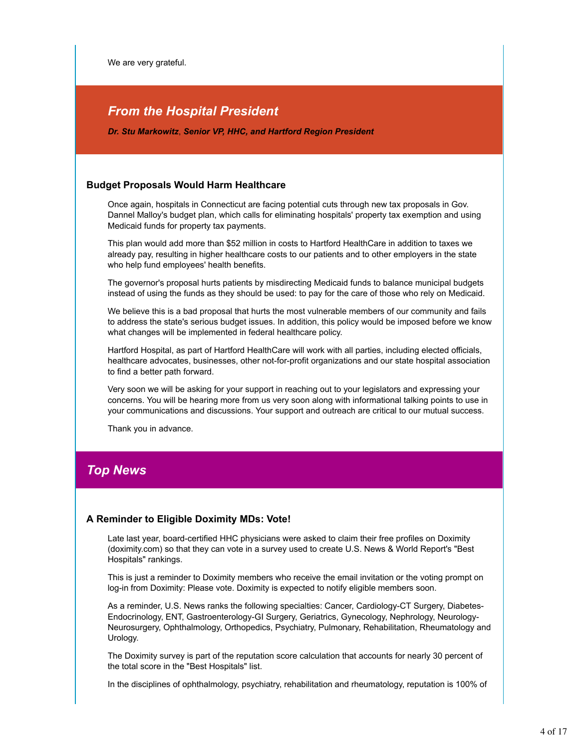We are very grateful.

# *From the Hospital President*

*Dr. Stu Markowitz*, *Senior VP, HHC, and Hartford Region President*

### **Budget Proposals Would Harm Healthcare**

Once again, hospitals in Connecticut are facing potential cuts through new tax proposals in Gov. Dannel Malloy's budget plan, which calls for eliminating hospitals' property tax exemption and using Medicaid funds for property tax payments.

This plan would add more than \$52 million in costs to Hartford HealthCare in addition to taxes we already pay, resulting in higher healthcare costs to our patients and to other employers in the state who help fund employees' health benefits.

The governor's proposal hurts patients by misdirecting Medicaid funds to balance municipal budgets instead of using the funds as they should be used: to pay for the care of those who rely on Medicaid.

We believe this is a bad proposal that hurts the most vulnerable members of our community and fails to address the state's serious budget issues. In addition, this policy would be imposed before we know what changes will be implemented in federal healthcare policy.

Hartford Hospital, as part of Hartford HealthCare will work with all parties, including elected officials, healthcare advocates, businesses, other not-for-profit organizations and our state hospital association to find a better path forward.

Very soon we will be asking for your support in reaching out to your legislators and expressing your concerns. You will be hearing more from us very soon along with informational talking points to use in your communications and discussions. Your support and outreach are critical to our mutual success.

Thank you in advance.

# *Top News*

### **A Reminder to Eligible Doximity MDs: Vote!**

Late last year, board-certified HHC physicians were asked to claim their free profiles on Doximity (doximity.com) so that they can vote in a survey used to create U.S. News & World Report's "Best Hospitals" rankings.

This is just a reminder to Doximity members who receive the email invitation or the voting prompt on log-in from Doximity: Please vote. Doximity is expected to notify eligible members soon.

As a reminder, U.S. News ranks the following specialties: Cancer, Cardiology-CT Surgery, Diabetes-Endocrinology, ENT, Gastroenterology-GI Surgery, Geriatrics, Gynecology, Nephrology, Neurology-Neurosurgery, Ophthalmology, Orthopedics, Psychiatry, Pulmonary, Rehabilitation, Rheumatology and Urology.

The Doximity survey is part of the reputation score calculation that accounts for nearly 30 percent of the total score in the "Best Hospitals" list.

In the disciplines of ophthalmology, psychiatry, rehabilitation and rheumatology, reputation is 100% of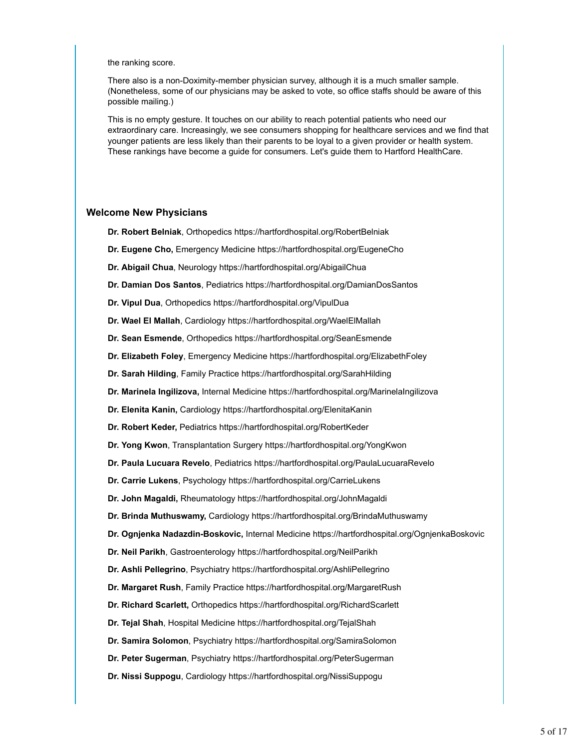#### the ranking score.

There also is a non-Doximity-member physician survey, although it is a much smaller sample. (Nonetheless, some of our physicians may be asked to vote, so office staffs should be aware of this possible mailing.)

This is no empty gesture. It touches on our ability to reach potential patients who need our extraordinary care. Increasingly, we see consumers shopping for healthcare services and we find that younger patients are less likely than their parents to be loyal to a given provider or health system. These rankings have become a guide for consumers. Let's guide them to Hartford HealthCare.

#### **Welcome New Physicians**

**Dr. Robert Belniak**, Orthopedics https://hartfordhospital.org/RobertBelniak

- **Dr. Eugene Cho,** Emergency Medicine https://hartfordhospital.org/EugeneCho
- **Dr. Abigail Chua**, Neurology https://hartfordhospital.org/AbigailChua
- **Dr. Damian Dos Santos**, Pediatrics https://hartfordhospital.org/DamianDosSantos
- **Dr. Vipul Dua**, Orthopedics https://hartfordhospital.org/VipulDua
- **Dr. Wael El Mallah**, Cardiology https://hartfordhospital.org/WaelElMallah
- **Dr. Sean Esmende**, Orthopedics https://hartfordhospital.org/SeanEsmende
- **Dr. Elizabeth Foley**, Emergency Medicine https://hartfordhospital.org/ElizabethFoley
- **Dr. Sarah Hilding**, Family Practice https://hartfordhospital.org/SarahHilding
- **Dr. Marinela Ingilizova,** Internal Medicine https://hartfordhospital.org/MarinelaIngilizova
- **Dr. Elenita Kanin,** Cardiology https://hartfordhospital.org/ElenitaKanin
- **Dr. Robert Keder,** Pediatrics https://hartfordhospital.org/RobertKeder
- **Dr. Yong Kwon**, Transplantation Surgery https://hartfordhospital.org/YongKwon
- **Dr. Paula Lucuara Revelo**, Pediatrics https://hartfordhospital.org/PaulaLucuaraRevelo
- **Dr. Carrie Lukens**, Psychology https://hartfordhospital.org/CarrieLukens
- **Dr. John Magaldi,** Rheumatology https://hartfordhospital.org/JohnMagaldi
- **Dr. Brinda Muthuswamy,** Cardiology https://hartfordhospital.org/BrindaMuthuswamy
- **Dr. Ognjenka Nadazdin-Boskovic,** Internal Medicine https://hartfordhospital.org/OgnjenkaBoskovic
- **Dr. Neil Parikh**, Gastroenterology https://hartfordhospital.org/NeilParikh
- **Dr. Ashli Pellegrino**, Psychiatry https://hartfordhospital.org/AshliPellegrino
- **Dr. Margaret Rush**, Family Practice https://hartfordhospital.org/MargaretRush
- **Dr. Richard Scarlett,** Orthopedics https://hartfordhospital.org/RichardScarlett
- **Dr. Tejal Shah**, Hospital Medicine https://hartfordhospital.org/TejalShah
- **Dr. Samira Solomon**, Psychiatry https://hartfordhospital.org/SamiraSolomon
- **Dr. Peter Sugerman**, Psychiatry https://hartfordhospital.org/PeterSugerman
- **Dr. Nissi Suppogu**, Cardiology https://hartfordhospital.org/NissiSuppogu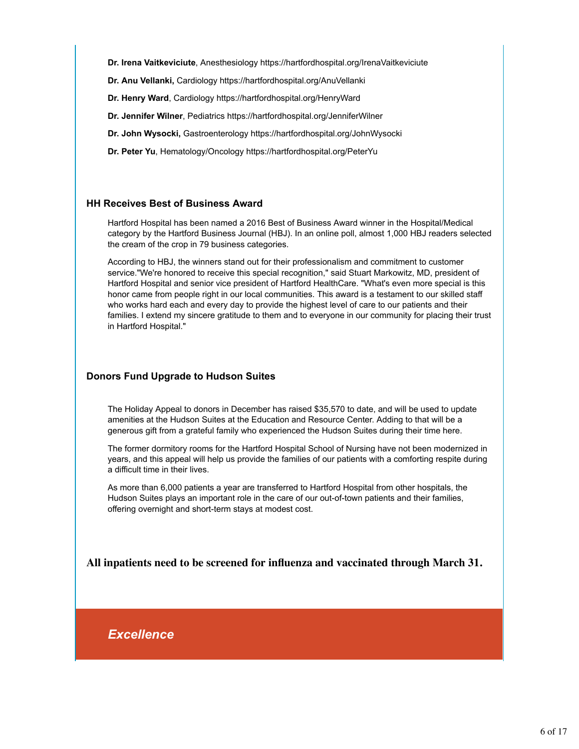**Dr. Irena Vaitkeviciute**, Anesthesiology https://hartfordhospital.org/IrenaVaitkeviciute

**Dr. Anu Vellanki,** Cardiology https://hartfordhospital.org/AnuVellanki

**Dr. Henry Ward**, Cardiology https://hartfordhospital.org/HenryWard

**Dr. Jennifer Wilner**, Pediatrics https://hartfordhospital.org/JenniferWilner

**Dr. John Wysocki,** Gastroenterology https://hartfordhospital.org/JohnWysocki

**Dr. Peter Yu**, Hematology/Oncology https://hartfordhospital.org/PeterYu

### **HH Receives Best of Business Award**

Hartford Hospital has been named a 2016 Best of Business Award winner in the Hospital/Medical category by the Hartford Business Journal (HBJ). In an online poll, almost 1,000 HBJ readers selected the cream of the crop in 79 business categories.

According to HBJ, the winners stand out for their professionalism and commitment to customer service."We're honored to receive this special recognition," said Stuart Markowitz, MD, president of Hartford Hospital and senior vice president of Hartford HealthCare. "What's even more special is this honor came from people right in our local communities. This award is a testament to our skilled staff who works hard each and every day to provide the highest level of care to our patients and their families. I extend my sincere gratitude to them and to everyone in our community for placing their trust in Hartford Hospital."

# **Donors Fund Upgrade to Hudson Suites**

The Holiday Appeal to donors in December has raised \$35,570 to date, and will be used to update amenities at the Hudson Suites at the Education and Resource Center. Adding to that will be a generous gift from a grateful family who experienced the Hudson Suites during their time here.

The former dormitory rooms for the Hartford Hospital School of Nursing have not been modernized in years, and this appeal will help us provide the families of our patients with a comforting respite during a difficult time in their lives.

As more than 6,000 patients a year are transferred to Hartford Hospital from other hospitals, the Hudson Suites plays an important role in the care of our out-of-town patients and their families, offering overnight and short-term stays at modest cost.

**All inpatients need to be screened for influenza and vaccinated through March 31.**

*Excellence*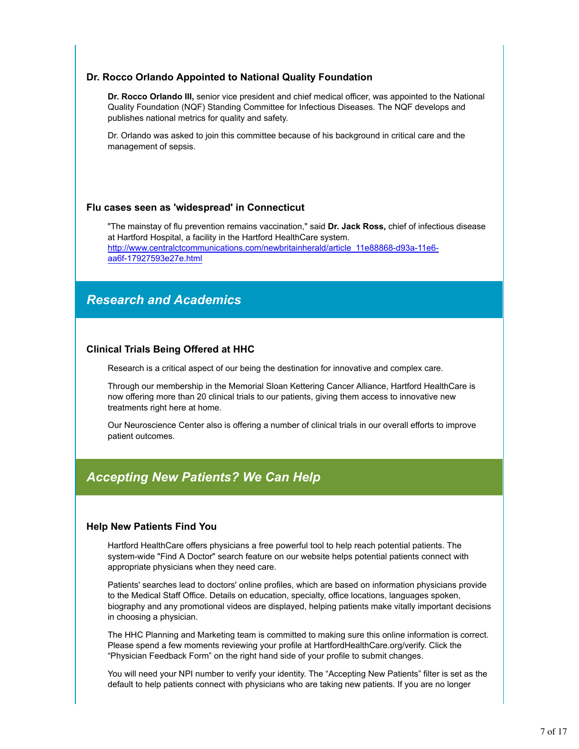### **Dr. Rocco Orlando Appointed to National Quality Foundation**

**Dr. Rocco Orlando III,** senior vice president and chief medical officer, was appointed to the National Quality Foundation (NQF) Standing Committee for Infectious Diseases. The NQF develops and publishes national metrics for quality and safety.

Dr. Orlando was asked to join this committee because of his background in critical care and the management of sepsis.

### **Flu cases seen as 'widespread' in Connecticut**

"The mainstay of flu prevention remains vaccination," said **Dr. Jack Ross,** chief of infectious disease at Hartford Hospital, a facility in the Hartford HealthCare system. http://www.centralctcommunications.com/newbritainherald/article\_11e88868-d93a-11e6 aa6f-17927593e27e.html

# *Research and Academics*

# **Clinical Trials Being Offered at HHC**

Research is a critical aspect of our being the destination for innovative and complex care.

Through our membership in the Memorial Sloan Kettering Cancer Alliance, Hartford HealthCare is now offering more than 20 clinical trials to our patients, giving them access to innovative new treatments right here at home.

Our Neuroscience Center also is offering a number of clinical trials in our overall efforts to improve patient outcomes.

# *Accepting New Patients? We Can Help*

### **Help New Patients Find You**

Hartford HealthCare offers physicians a free powerful tool to help reach potential patients. The system-wide "Find A Doctor" search feature on our website helps potential patients connect with appropriate physicians when they need care.

Patients' searches lead to doctors' online profiles, which are based on information physicians provide to the Medical Staff Office. Details on education, specialty, office locations, languages spoken, biography and any promotional videos are displayed, helping patients make vitally important decisions in choosing a physician.

The HHC Planning and Marketing team is committed to making sure this online information is correct. Please spend a few moments reviewing your profile at HartfordHealthCare.org/verify. Click the "Physician Feedback Form" on the right hand side of your profile to submit changes.

You will need your NPI number to verify your identity. The "Accepting New Patients" filter is set as the default to help patients connect with physicians who are taking new patients. If you are no longer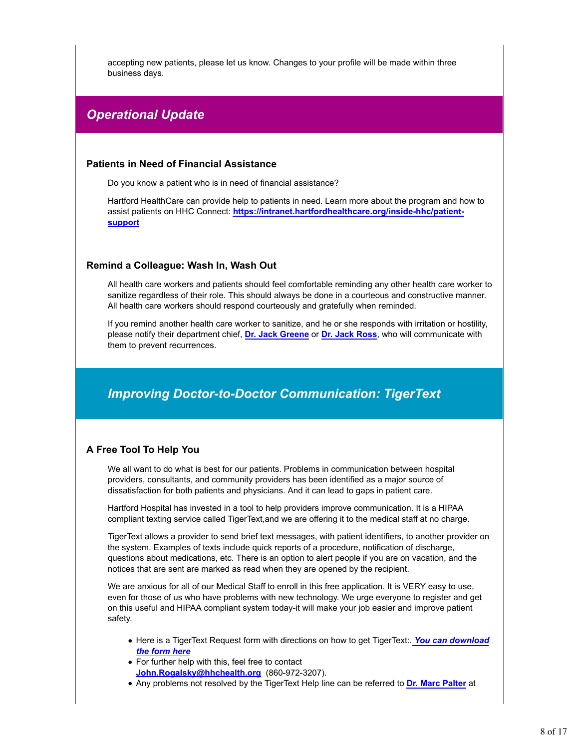accepting new patients, please let us know. Changes to your profile will be made within three business days.

# *Operational Update*

### **Patients in Need of Financial Assistance**

Do you know a patient who is in need of financial assistance?

Hartford HealthCare can provide help to patients in need. Learn more about the program and how to assist patients on HHC Connect: **https://intranet.hartfordhealthcare.org/inside-hhc/patientsupport**

### **Remind a Colleague: Wash In, Wash Out**

All health care workers and patients should feel comfortable reminding any other health care worker to sanitize regardless of their role. This should always be done in a courteous and constructive manner. All health care workers should respond courteously and gratefully when reminded.

If you remind another health care worker to sanitize, and he or she responds with irritation or hostility, please notify their department chief, **Dr. Jack Greene** or **Dr. Jack Ross**, who will communicate with them to prevent recurrences.

# *Improving Doctor-to-Doctor Communication: TigerText*

# **A Free Tool To Help You**

We all want to do what is best for our patients. Problems in communication between hospital providers, consultants, and community providers has been identified as a major source of dissatisfaction for both patients and physicians. And it can lead to gaps in patient care.

Hartford Hospital has invested in a tool to help providers improve communication. It is a HIPAA compliant texting service called TigerText,and we are offering it to the medical staff at no charge.

TigerText allows a provider to send brief text messages, with patient identifiers, to another provider on the system. Examples of texts include quick reports of a procedure, notification of discharge, questions about medications, etc. There is an option to alert people if you are on vacation, and the notices that are sent are marked as read when they are opened by the recipient.

We are anxious for all of our Medical Staff to enroll in this free application. It is VERY easy to use, even for those of us who have problems with new technology. We urge everyone to register and get on this useful and HIPAA compliant system today-it will make your job easier and improve patient safety.

- Here is a TigerText Request form with directions on how to get TigerText:. *You can download the form here*
- For further help with this, feel free to contact **John.Rogalsky@hhchealth.org** (860-972-3207).
- Any problems not resolved by the TigerText Help line can be referred to **Dr. Marc Palter** at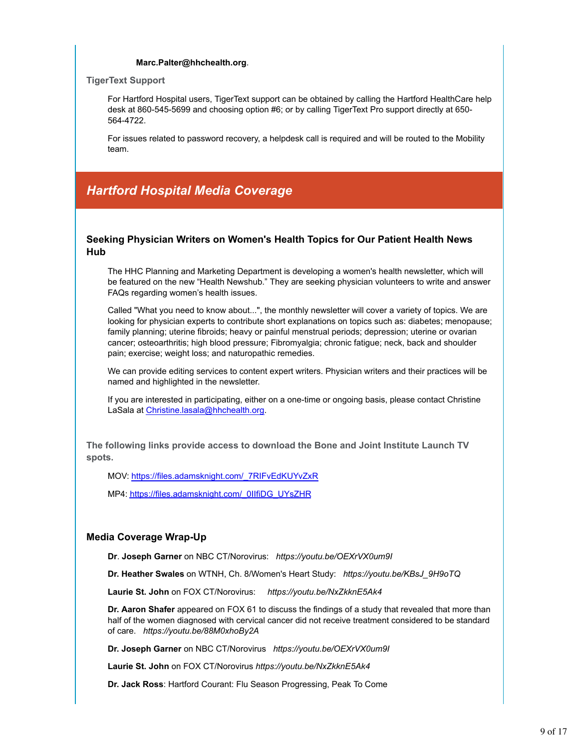### **Marc.Palter@hhchealth.org**.

#### **TigerText Support**

For Hartford Hospital users, TigerText support can be obtained by calling the Hartford HealthCare help desk at 860-545-5699 and choosing option #6; or by calling TigerText Pro support directly at 650- 564-4722.

For issues related to password recovery, a helpdesk call is required and will be routed to the Mobility team.

# *Hartford Hospital Media Coverage*

# **Seeking Physician Writers on Women's Health Topics for Our Patient Health News Hub**

The HHC Planning and Marketing Department is developing a women's health newsletter, which will be featured on the new "Health Newshub." They are seeking physician volunteers to write and answer FAQs regarding women's health issues.

Called "What you need to know about...", the monthly newsletter will cover a variety of topics. We are looking for physician experts to contribute short explanations on topics such as: diabetes; menopause; family planning; uterine fibroids; heavy or painful menstrual periods; depression; uterine or ovarian cancer; osteoarthritis; high blood pressure; Fibromyalgia; chronic fatigue; neck, back and shoulder pain; exercise; weight loss; and naturopathic remedies.

We can provide editing services to content expert writers. Physician writers and their practices will be named and highlighted in the newsletter.

If you are interested in participating, either on a one-time or ongoing basis, please contact Christine LaSala at Christine.lasala@hhchealth.org.

**The following links provide access to download the Bone and Joint Institute Launch TV spots.**

MOV: https://files.adamsknight.com/\_7RIFvEdKUYvZxR

MP4: https://files.adamsknight.com/\_0IIfiDG\_UYsZHR

### **Media Coverage Wrap-Up**

**Dr**. **Joseph Garner** on NBC CT/Norovirus: *https://youtu.be/OEXrVX0um9I*

**Dr. Heather Swales** on WTNH, Ch. 8/Women's Heart Study: *https://youtu.be/KBsJ\_9H9oTQ*

**Laurie St. John** on FOX CT/Norovirus: *https://youtu.be/NxZkknE5Ak4*

**Dr. Aaron Shafer** appeared on FOX 61 to discuss the findings of a study that revealed that more than half of the women diagnosed with cervical cancer did not receive treatment considered to be standard of care. *https://youtu.be/88M0xhoBy2A*

**Dr. Joseph Garner** on NBC CT/Norovirus *https://youtu.be/OEXrVX0um9I*

**Laurie St. John** on FOX CT/Norovirus *https://youtu.be/NxZkknE5Ak4*

**Dr. Jack Ross**: Hartford Courant: Flu Season Progressing, Peak To Come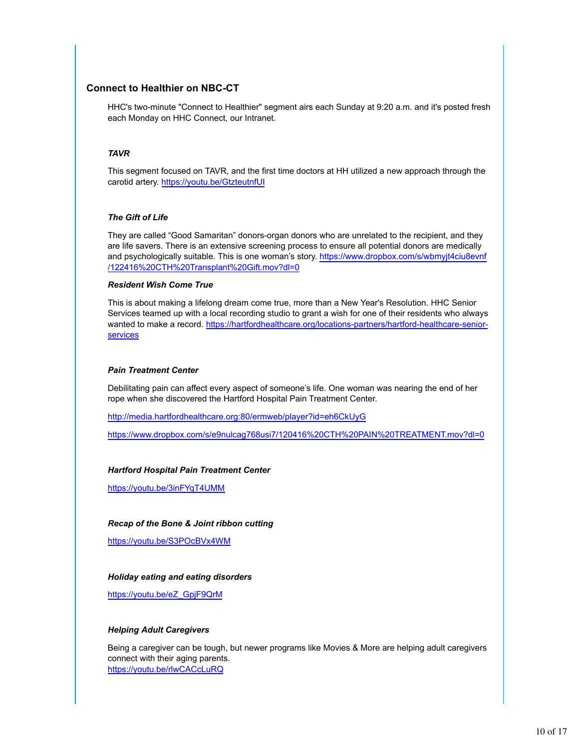# **Connect to Healthier on NBC-CT**

HHC's two-minute "Connect to Healthier" segment airs each Sunday at 9:20 a.m. and it's posted fresh each Monday on HHC Connect, our Intranet.

#### *TAVR*

This segment focused on TAVR, and the first time doctors at HH utilized a new approach through the carotid artery. https://youtu.be/GtzteutnfUI

#### *The Gift of Life*

They are called "Good Samaritan" donors-organ donors who are unrelated to the recipient, and they are life savers. There is an extensive screening process to ensure all potential donors are medically and psychologically suitable. This is one woman's story. https://www.dropbox.com/s/wbmyjt4ciu8evnf /122416%20CTH%20Transplant%20Gift.mov?dl=0

#### *Resident Wish Come True*

This is about making a lifelong dream come true, more than a New Year's Resolution. HHC Senior Services teamed up with a local recording studio to grant a wish for one of their residents who always wanted to make a record. https://hartfordhealthcare.org/locations-partners/hartford-healthcare-seniorservices

#### *Pain Treatment Center*

Debilitating pain can affect every aspect of someone's life. One woman was nearing the end of her rope when she discovered the Hartford Hospital Pain Treatment Center.

http://media.hartfordhealthcare.org:80/ermweb/player?id=eh6CkUyG

https://www.dropbox.com/s/e9nulcag768usi7/120416%20CTH%20PAIN%20TREATMENT.mov?dl=0

#### *Hartford Hospital Pain Treatment Center*

https://youtu.be/3inFYqT4UMM

### *Recap of the Bone & Joint ribbon cutting*

https://youtu.be/S3POcBVx4WM

#### *Holiday eating and eating disorders*

https://youtu.be/eZ\_GpjF9QrM

#### *Helping Adult Caregivers*

Being a caregiver can be tough, but newer programs like Movies & More are helping adult caregivers connect with their aging parents. https://youtu.be/rlwCACcLuRQ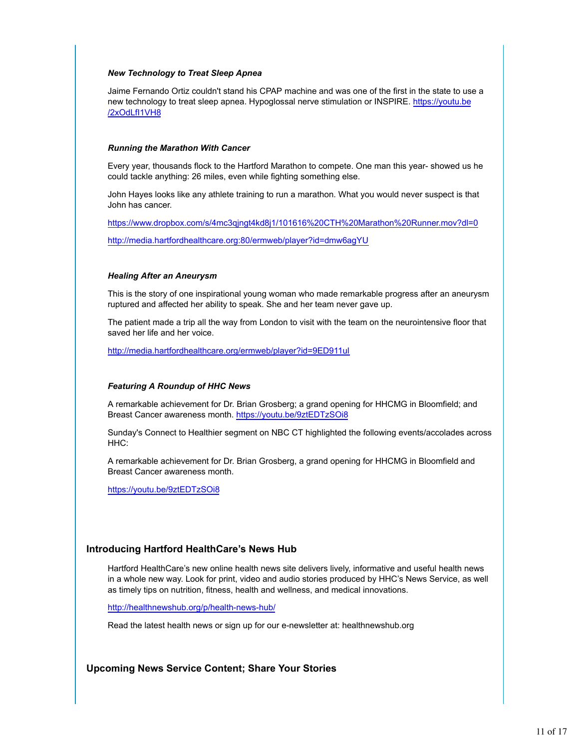#### *New Technology to Treat Sleep Apnea*

Jaime Fernando Ortiz couldn't stand his CPAP machine and was one of the first in the state to use a new technology to treat sleep apnea. Hypoglossal nerve stimulation or INSPIRE. https://youtu.be /2xOdLfI1VH8

#### *Running the Marathon With Cancer*

Every year, thousands flock to the Hartford Marathon to compete. One man this year- showed us he could tackle anything: 26 miles, even while fighting something else.

John Hayes looks like any athlete training to run a marathon. What you would never suspect is that John has cancer.

https://www.dropbox.com/s/4mc3qjngt4kd8j1/101616%20CTH%20Marathon%20Runner.mov?dl=0

http://media.hartfordhealthcare.org:80/ermweb/player?id=dmw6agYU

#### *Healing After an Aneurysm*

This is the story of one inspirational young woman who made remarkable progress after an aneurysm ruptured and affected her ability to speak. She and her team never gave up.

The patient made a trip all the way from London to visit with the team on the neurointensive floor that saved her life and her voice.

http://media.hartfordhealthcare.org/ermweb/player?id=9ED911ul

#### *Featuring A Roundup of HHC News*

A remarkable achievement for Dr. Brian Grosberg; a grand opening for HHCMG in Bloomfield; and Breast Cancer awareness month. https://youtu.be/9ztEDTzSOi8

Sunday's Connect to Healthier segment on NBC CT highlighted the following events/accolades across HHC:

A remarkable achievement for Dr. Brian Grosberg, a grand opening for HHCMG in Bloomfield and Breast Cancer awareness month.

https://youtu.be/9ztEDTzSOi8

### **Introducing Hartford HealthCare's News Hub**

Hartford HealthCare's new online health news site delivers lively, informative and useful health news in a whole new way. Look for print, video and audio stories produced by HHC's News Service, as well as timely tips on nutrition, fitness, health and wellness, and medical innovations.

http://healthnewshub.org/p/health-news-hub/

Read the latest health news or sign up for our e-newsletter at: healthnewshub.org

### **Upcoming News Service Content; Share Your Stories**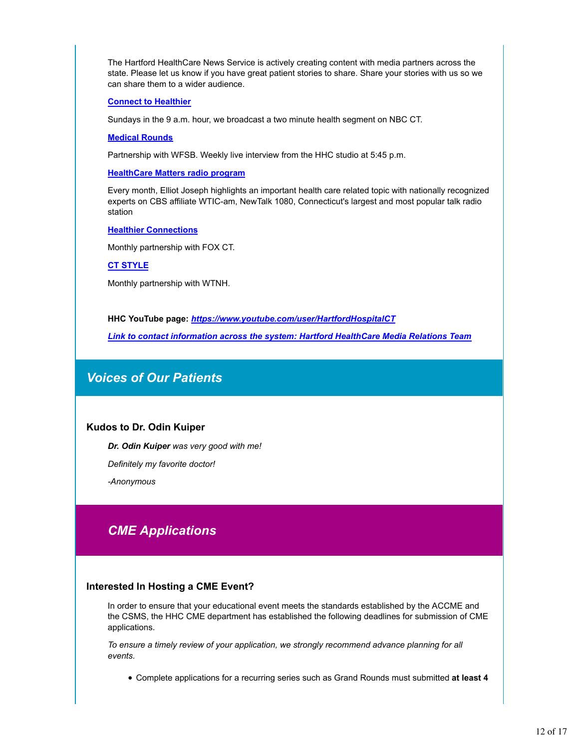The Hartford HealthCare News Service is actively creating content with media partners across the state. Please let us know if you have great patient stories to share. Share your stories with us so we can share them to a wider audience.

#### **Connect to Healthier**

Sundays in the 9 a.m. hour, we broadcast a two minute health segment on NBC CT.

#### **Medical Rounds**

Partnership with WFSB. Weekly live interview from the HHC studio at 5:45 p.m.

**HealthCare Matters radio program**

Every month, Elliot Joseph highlights an important health care related topic with nationally recognized experts on CBS affiliate WTIC-am, NewTalk 1080, Connecticut's largest and most popular talk radio station

#### **Healthier Connections**

Monthly partnership with FOX CT.

**CT STYLE**

Monthly partnership with WTNH.

**HHC YouTube page:** *https://www.youtube.com/user/HartfordHospitalCT*

*Link to contact information across the system: Hartford HealthCare Media Relations Team*

# *Voices of Our Patients*

### **Kudos to Dr. Odin Kuiper**

*Dr. Odin Kuiper was very good with me!*

*Definitely my favorite doctor!*

*-Anonymous*

# *CME Applications*

#### **Interested In Hosting a CME Event?**

In order to ensure that your educational event meets the standards established by the ACCME and the CSMS, the HHC CME department has established the following deadlines for submission of CME applications.

*To ensure a timely review of your application, we strongly recommend advance planning for all events.* 

Complete applications for a recurring series such as Grand Rounds must submitted **at least 4**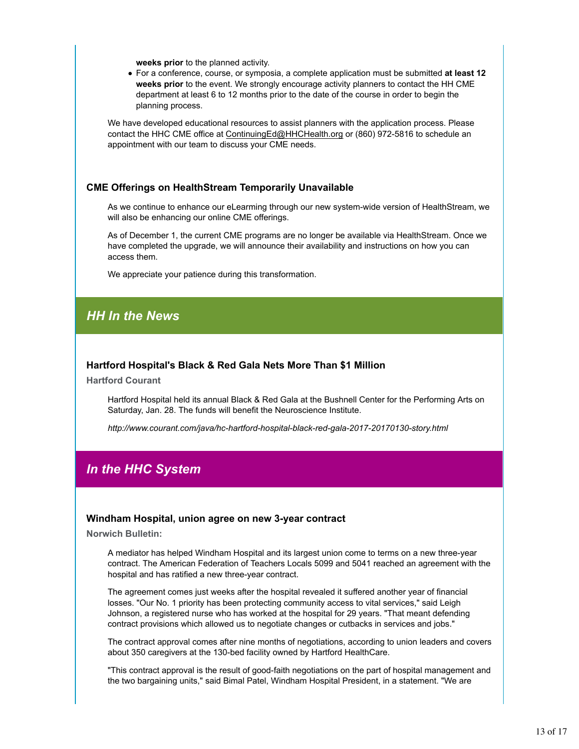**weeks prior** to the planned activity.

For a conference, course, or symposia, a complete application must be submitted **at least 12 weeks prior** to the event. We strongly encourage activity planners to contact the HH CME department at least 6 to 12 months prior to the date of the course in order to begin the planning process.

We have developed educational resources to assist planners with the application process. Please contact the HHC CME office at ContinuingEd@HHCHealth.org or (860) 972-5816 to schedule an appointment with our team to discuss your CME needs.

### **CME Offerings on HealthStream Temporarily Unavailable**

As we continue to enhance our eLearming through our new system-wide version of HealthStream, we will also be enhancing our online CME offerings.

As of December 1, the current CME programs are no longer be available via HealthStream. Once we have completed the upgrade, we will announce their availability and instructions on how you can access them.

We appreciate your patience during this transformation.

# *HH In the News*

#### **Hartford Hospital's Black & Red Gala Nets More Than \$1 Million**

**Hartford Courant**

Hartford Hospital held its annual Black & Red Gala at the Bushnell Center for the Performing Arts on Saturday, Jan. 28. The funds will benefit the Neuroscience Institute.

*http://www.courant.com/java/hc-hartford-hospital-black-red-gala-2017-20170130-story.html*

# *In the HHC System*

#### **Windham Hospital, union agree on new 3-year contract**

**Norwich Bulletin:**

A mediator has helped Windham Hospital and its largest union come to terms on a new three-year contract. The American Federation of Teachers Locals 5099 and 5041 reached an agreement with the hospital and has ratified a new three-year contract.

The agreement comes just weeks after the hospital revealed it suffered another year of financial losses. "Our No. 1 priority has been protecting community access to vital services," said Leigh Johnson, a registered nurse who has worked at the hospital for 29 years. "That meant defending contract provisions which allowed us to negotiate changes or cutbacks in services and jobs."

The contract approval comes after nine months of negotiations, according to union leaders and covers about 350 caregivers at the 130-bed facility owned by Hartford HealthCare.

"This contract approval is the result of good-faith negotiations on the part of hospital management and the two bargaining units," said Bimal Patel, Windham Hospital President, in a statement. "We are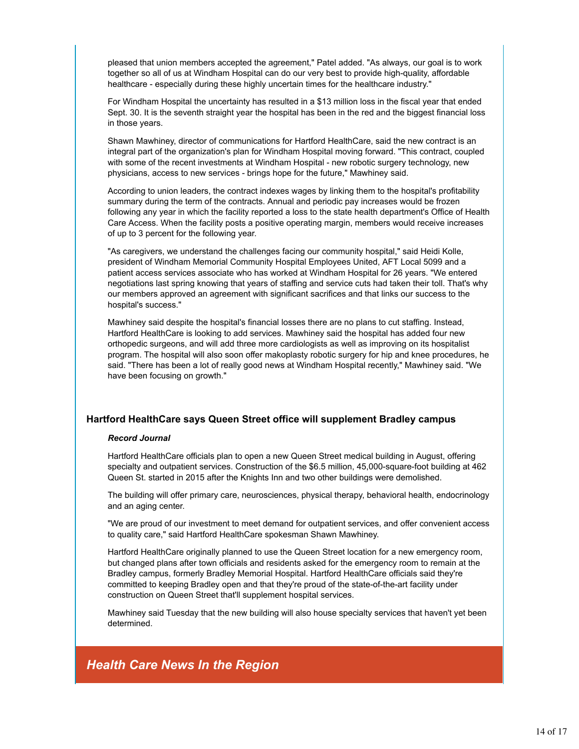pleased that union members accepted the agreement," Patel added. "As always, our goal is to work together so all of us at Windham Hospital can do our very best to provide high-quality, affordable healthcare - especially during these highly uncertain times for the healthcare industry."

For Windham Hospital the uncertainty has resulted in a \$13 million loss in the fiscal year that ended Sept. 30. It is the seventh straight year the hospital has been in the red and the biggest financial loss in those years.

Shawn Mawhiney, director of communications for Hartford HealthCare, said the new contract is an integral part of the organization's plan for Windham Hospital moving forward. "This contract, coupled with some of the recent investments at Windham Hospital - new robotic surgery technology, new physicians, access to new services - brings hope for the future," Mawhiney said.

According to union leaders, the contract indexes wages by linking them to the hospital's profitability summary during the term of the contracts. Annual and periodic pay increases would be frozen following any year in which the facility reported a loss to the state health department's Office of Health Care Access. When the facility posts a positive operating margin, members would receive increases of up to 3 percent for the following year.

"As caregivers, we understand the challenges facing our community hospital," said Heidi Kolle, president of Windham Memorial Community Hospital Employees United, AFT Local 5099 and a patient access services associate who has worked at Windham Hospital for 26 years. "We entered negotiations last spring knowing that years of staffing and service cuts had taken their toll. That's why our members approved an agreement with significant sacrifices and that links our success to the hospital's success."

Mawhiney said despite the hospital's financial losses there are no plans to cut staffing. Instead, Hartford HealthCare is looking to add services. Mawhiney said the hospital has added four new orthopedic surgeons, and will add three more cardiologists as well as improving on its hospitalist program. The hospital will also soon offer makoplasty robotic surgery for hip and knee procedures, he said. "There has been a lot of really good news at Windham Hospital recently," Mawhiney said. "We have been focusing on growth."

### **Hartford HealthCare says Queen Street office will supplement Bradley campus**

#### *Record Journal*

Hartford HealthCare officials plan to open a new Queen Street medical building in August, offering specialty and outpatient services. Construction of the \$6.5 million, 45,000-square-foot building at 462 Queen St. started in 2015 after the Knights Inn and two other buildings were demolished.

The building will offer primary care, neurosciences, physical therapy, behavioral health, endocrinology and an aging center.

"We are proud of our investment to meet demand for outpatient services, and offer convenient access to quality care," said Hartford HealthCare spokesman Shawn Mawhiney.

Hartford HealthCare originally planned to use the Queen Street location for a new emergency room, but changed plans after town officials and residents asked for the emergency room to remain at the Bradley campus, formerly Bradley Memorial Hospital. Hartford HealthCare officials said they're committed to keeping Bradley open and that they're proud of the state-of-the-art facility under construction on Queen Street that'll supplement hospital services.

Mawhiney said Tuesday that the new building will also house specialty services that haven't yet been determined.

# *Health Care News In the Region*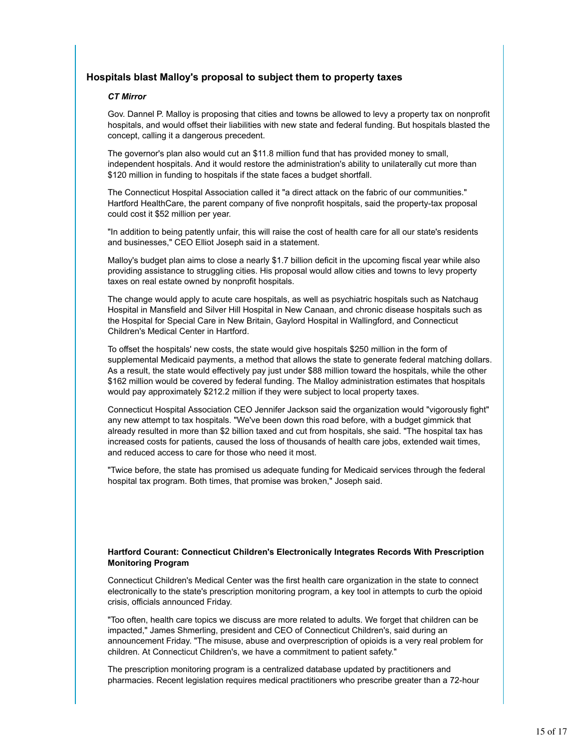# **Hospitals blast Malloy's proposal to subject them to property taxes**

#### *CT Mirror*

Gov. Dannel P. Malloy is proposing that cities and towns be allowed to levy a property tax on nonprofit hospitals, and would offset their liabilities with new state and federal funding. But hospitals blasted the concept, calling it a dangerous precedent.

The governor's plan also would cut an \$11.8 million fund that has provided money to small, independent hospitals. And it would restore the administration's ability to unilaterally cut more than \$120 million in funding to hospitals if the state faces a budget shortfall.

The Connecticut Hospital Association called it "a direct attack on the fabric of our communities." Hartford HealthCare, the parent company of five nonprofit hospitals, said the property-tax proposal could cost it \$52 million per year.

"In addition to being patently unfair, this will raise the cost of health care for all our state's residents and businesses," CEO Elliot Joseph said in a statement.

Malloy's budget plan aims to close a nearly \$1.7 billion deficit in the upcoming fiscal year while also providing assistance to struggling cities. His proposal would allow cities and towns to levy property taxes on real estate owned by nonprofit hospitals.

The change would apply to acute care hospitals, as well as psychiatric hospitals such as Natchaug Hospital in Mansfield and Silver Hill Hospital in New Canaan, and chronic disease hospitals such as the Hospital for Special Care in New Britain, Gaylord Hospital in Wallingford, and Connecticut Children's Medical Center in Hartford.

To offset the hospitals' new costs, the state would give hospitals \$250 million in the form of supplemental Medicaid payments, a method that allows the state to generate federal matching dollars. As a result, the state would effectively pay just under \$88 million toward the hospitals, while the other \$162 million would be covered by federal funding. The Malloy administration estimates that hospitals would pay approximately \$212.2 million if they were subject to local property taxes.

Connecticut Hospital Association CEO Jennifer Jackson said the organization would "vigorously fight" any new attempt to tax hospitals. "We've been down this road before, with a budget gimmick that already resulted in more than \$2 billion taxed and cut from hospitals, she said. "The hospital tax has increased costs for patients, caused the loss of thousands of health care jobs, extended wait times, and reduced access to care for those who need it most.

"Twice before, the state has promised us adequate funding for Medicaid services through the federal hospital tax program. Both times, that promise was broken," Joseph said.

### **Hartford Courant: Connecticut Children's Electronically Integrates Records With Prescription Monitoring Program**

Connecticut Children's Medical Center was the first health care organization in the state to connect electronically to the state's prescription monitoring program, a key tool in attempts to curb the opioid crisis, officials announced Friday.

"Too often, health care topics we discuss are more related to adults. We forget that children can be impacted," James Shmerling, president and CEO of Connecticut Children's, said during an announcement Friday. "The misuse, abuse and overprescription of opioids is a very real problem for children. At Connecticut Children's, we have a commitment to patient safety."

The prescription monitoring program is a centralized database updated by practitioners and pharmacies. Recent legislation requires medical practitioners who prescribe greater than a 72-hour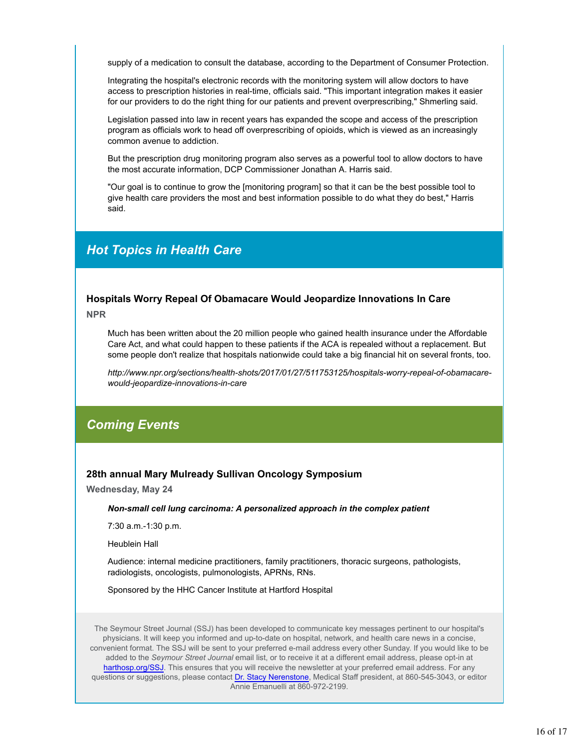supply of a medication to consult the database, according to the Department of Consumer Protection.

Integrating the hospital's electronic records with the monitoring system will allow doctors to have access to prescription histories in real-time, officials said. "This important integration makes it easier for our providers to do the right thing for our patients and prevent overprescribing," Shmerling said.

Legislation passed into law in recent years has expanded the scope and access of the prescription program as officials work to head off overprescribing of opioids, which is viewed as an increasingly common avenue to addiction.

But the prescription drug monitoring program also serves as a powerful tool to allow doctors to have the most accurate information, DCP Commissioner Jonathan A. Harris said.

"Our goal is to continue to grow the [monitoring program] so that it can be the best possible tool to give health care providers the most and best information possible to do what they do best," Harris said.

# *Hot Topics in Health Care*

# **Hospitals Worry Repeal Of Obamacare Would Jeopardize Innovations In Care NPR**

Much has been written about the 20 million people who gained health insurance under the Affordable Care Act, and what could happen to these patients if the ACA is repealed without a replacement. But some people don't realize that hospitals nationwide could take a big financial hit on several fronts, too.

*http://www.npr.org/sections/health-shots/2017/01/27/511753125/hospitals-worry-repeal-of-obamacarewould-jeopardize-innovations-in-care*

# *Coming Events*

# **28th annual Mary Mulready Sullivan Oncology Symposium**

**Wednesday, May 24**

*Non-small cell lung carcinoma: A personalized approach in the complex patient*

7:30 a.m.-1:30 p.m.

Heublein Hall

Audience: internal medicine practitioners, family practitioners, thoracic surgeons, pathologists, radiologists, oncologists, pulmonologists, APRNs, RNs.

Sponsored by the HHC Cancer Institute at Hartford Hospital

The Seymour Street Journal (SSJ) has been developed to communicate key messages pertinent to our hospital's physicians. It will keep you informed and up-to-date on hospital, network, and health care news in a concise, convenient format. The SSJ will be sent to your preferred e-mail address every other Sunday. If you would like to be added to the *Seymour Street Journal* email list, or to receive it at a different email address, please opt-in at harthosp.org/SSJ. This ensures that you will receive the newsletter at your preferred email address. For any questions or suggestions, please contact Dr. Stacy Nerenstone, Medical Staff president, at 860-545-3043, or editor Annie Emanuelli at 860-972-2199.